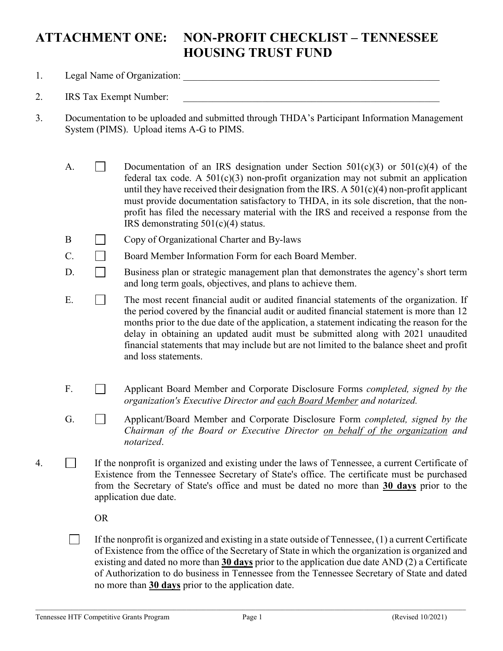## **ATTACHMENT ONE: NON-PROFIT CHECKLIST – TENNESSEE HOUSING TRUST FUND**

- 1. Legal Name of Organization: \_\_\_\_\_\_\_\_\_\_\_\_\_\_\_\_\_\_\_\_\_\_\_\_\_\_\_\_\_\_\_\_\_\_\_\_\_\_\_\_\_\_\_\_\_\_\_\_\_\_\_\_
- 2. IRS Tax Exempt Number:
- 3. Documentation to be uploaded and submitted through THDA's Participant Information Management System (PIMS). Upload items A-G to PIMS.
	- A.  $\Box$  Documentation of an IRS designation under Section 501(c)(3) or 501(c)(4) of the federal tax code. A  $501(c)(3)$  non-profit organization may not submit an application until they have received their designation from the IRS. A  $501(c)(4)$  non-profit applicant must provide documentation satisfactory to THDA, in its sole discretion, that the nonprofit has filed the necessary material with the IRS and received a response from the IRS demonstrating 501(c)(4) status.
	- B Copy of Organizational Charter and By-laws
	- $C.$  Board Member Information Form for each Board Member.
	- $\Box$  Business plan or strategic management plan that demonstrates the agency's short term and long term goals, objectives, and plans to achieve them.
	- E. The most recent financial audit or audited financial statements of the organization. If the period covered by the financial audit or audited financial statement is more than 12 months prior to the due date of the application, a statement indicating the reason for the delay in obtaining an updated audit must be submitted along with 2021 unaudited financial statements that may include but are not limited to the balance sheet and profit and loss statements.
	- F. Applicant Board Member and Corporate Disclosure Forms *completed, signed by the organization's Executive Director and each Board Member and notarized.*
	- G. Applicant/Board Member and Corporate Disclosure Form *completed, signed by the Chairman of the Board or Executive Director on behalf of the organization and notarized*.
- 4. If the nonprofit is organized and existing under the laws of Tennessee, a current Certificate of Existence from the Tennessee Secretary of State's office. The certificate must be purchased from the Secretary of State's office and must be dated no more than **30 days** prior to the application due date.

OR

 $\Box$ If the nonprofit is organized and existing in a state outside of Tennessee, (1) a current Certificate of Existence from the office of the Secretary of State in which the organization is organized and existing and dated no more than **30 days** prior to the application due date AND (2) a Certificate of Authorization to do business in Tennessee from the Tennessee Secretary of State and dated no more than **30 days** prior to the application date.